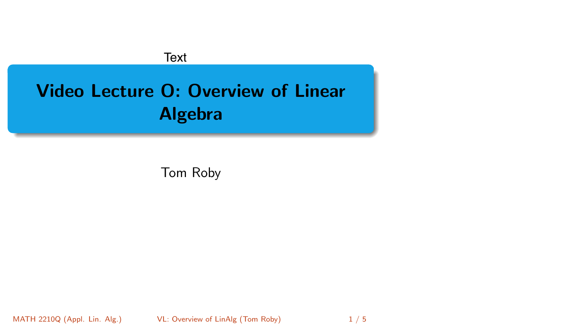# <span id="page-0-0"></span>Video Lecture O: Overview of Linear Algebra Text<br>
Video Lecture O: Overview of Linear<br>
Algebra<br>
Tom Roby<br>
MATH 2210Q (Appl. Lin. Alg.) VL: Overview of LinAlg (Tom Roby) 1 / 5

Tom Roby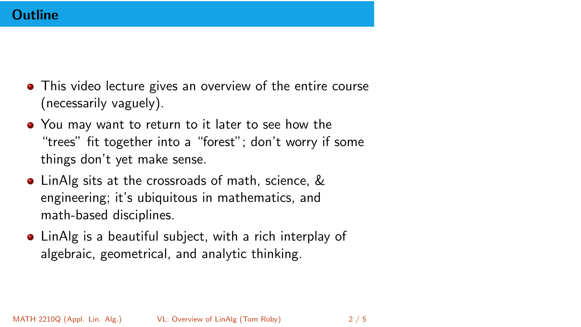### **Outline**

- This video lecture gives an overview of the entire course (necessarily vaguely).
- You may want to return to it later to see how the "trees" fit together into a "forest"; don't worry if some things don't yet make sense.
- LinAlg sits at the crossroads of math, science, & engineering; it's ubiquitous in mathematics, and math-based disciplines.
- LinAlg is a beautiful subject, with a rich interplay of algebraic, geometrical, and analytic thinking.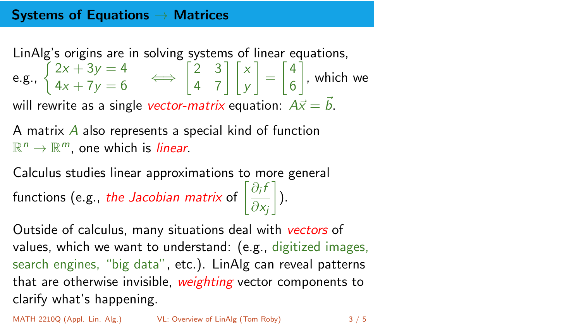# Systems of Equations  $\rightarrow$  Matrices

LinAlg's origins are in solving systems of linear equations, e.g.,  $\begin{cases} 2x + 3y = 4 \\ 4x + 7y = 6 \end{cases} \iff \begin{bmatrix} 2 & 3 \\ 4 & 7 \end{bmatrix}$ 4 7 *x y* 1 =  $\lceil 4$ 6 Ť , which we will rewrite as a single *vector-matrix* equation:  $A\vec{x} = \vec{b}$ .

A matrix *A* also represents a special kind of function  $\mathbb{R}^n \to \mathbb{R}^m$ , one which is *linear*.

Calculus studies linear approximations to more general functions (e.g., *the Jacobian matrix* of  $\left[\frac{\partial_i f}{\partial x_i}\right]$ @*x<sup>j</sup>* 1 ).

Outside of calculus, many situations deal with *vectors* of values, which we want to understand: (e.g., digitized images, search engines, "big data", etc.). LinAlg can reveal patterns that are otherwise invisible, *weighting* vector components to clarify what's happening.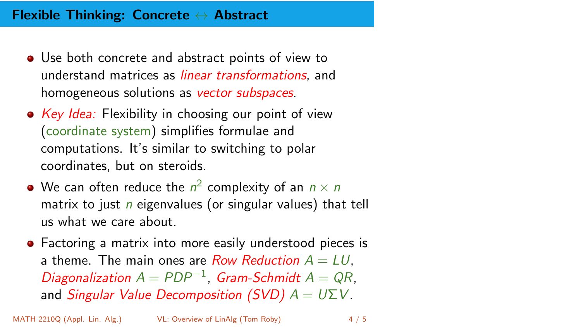## Flexible Thinking: Concrete  $\leftrightarrow$  Abstract

- Use both concrete and abstract points of view to understand matrices as *linear transformations*, and homogeneous solutions as *vector subspaces*.
- *Key Idea:* Flexibility in choosing our point of view (coordinate system) simplifies formulae and computations. It's similar to switching to polar coordinates, but on steroids.
- We can often reduce the  $n^2$  complexity of an  $n \times n$ matrix to just *n* eigenvalues (or singular values) that tell us what we care about.
- Factoring a matrix into more easily understood pieces is a theme. The main ones are *Row Reduction*  $A = LU$ . *Diagonalization*  $A = PDP^{-1}$ , *Gram-Schmidt*  $A = QR$ , and *Singular Value Decomposition (SVD)*  $A = U\Sigma V$ .